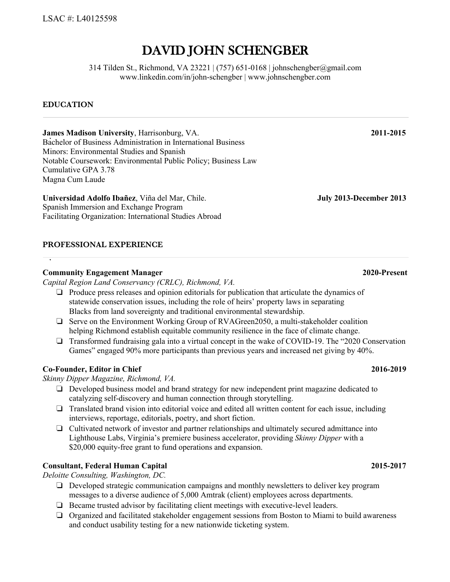# DAVID JOHN SCHENGBER

314 Tilden St., Richmond, VA 23221 | (757) 651-0168 | johnschengber@gmail.com www.linkedin.com/in/john-schengber | www.johnschengber.com

## **EDUCATION**

### **James Madison University**, Harrisonburg, VA. **2011-2015** Bachelor of Business Administration in International Business Minors: Environmental Studies and Spanish Notable Coursework: Environmental Public Policy; Business Law Cumulative GPA 3.78 Magna Cum Laude

**Universidad Adolfo Ibañez**, Viña del Mar, Chile. **July 2013-December 2013** Spanish Immersion and Exchange Program Facilitating Organization: International Studies Abroad

# **PROFESSIONAL EXPERIENCE**

### **Community Engagement Manager 2020-Present**

*Capital Region Land Conservancy (CRLC), Richmond, VA.* 

- ❏ Produce press releases and opinion editorials for publication that articulate the dynamics of statewide conservation issues, including the role of heirs' property laws in separating Blacks from land sovereignty and traditional environmental stewardship.
- ❏ Serve on the Environment Working Group of RVAGreen2050, a multi-stakeholder coalition helping Richmond establish equitable community resilience in the face of climate change.
- ❏ Transformed fundraising gala into a virtual concept in the wake of COVID-19. The "2020 Conservation Games" engaged 90% more participants than previous years and increased net giving by 40%.

### **Co-Founder, Editor in Chief 2016***-***2019**

*Skinny Dipper Magazine, Richmond, VA.* 

- ❏ Developed business model and brand strategy for new independent print magazine dedicated to catalyzing self-discovery and human connection through storytelling.
- ❏ Translated brand vision into editorial voice and edited all written content for each issue, including interviews, reportage, editorials, poetry, and short fiction.
- ❏ Cultivated network of investor and partner relationships and ultimately secured admittance into Lighthouse Labs, Virginia's premiere business accelerator, providing *Skinny Dipper* with a \$20,000 equity-free grant to fund operations and expansion.

# **Consultant, Federal Human Capital 2015-2017**

*Deloitte Consulting, Washington, DC.* 

- ❏ Developed strategic communication campaigns and monthly newsletters to deliver key program messages to a diverse audience of 5,000 Amtrak (client) employees across departments.
- ❏ Became trusted advisor by facilitating client meetings with executive-level leaders.
- ❏ Organized and facilitated stakeholder engagement sessions from Boston to Miami to build awareness and conduct usability testing for a new nationwide ticketing system.